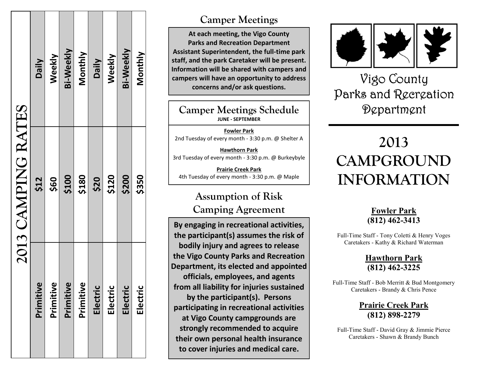| 2013 CAMPING RATES | <b>Daily</b> | Weekly    | <b>Bi-Weekly</b> | Monthly   | <b>Daily</b> | Weekly   | <b>Bi-Weekly</b> | Monthly  |
|--------------------|--------------|-----------|------------------|-----------|--------------|----------|------------------|----------|
|                    | \$12         | \$60      | \$100            | \$180     | \$20         | \$120    | \$200            | \$350    |
|                    | Primitive    | Primitive | Primitive        | Primitive | Electric     | Electric | Electric         | Electric |

#### **Camper Meetings**

**At each meeting, the Vigo County Parks and Recreation Department**  Assistant Superintendent, the full-time park **staff, and the park Caretaker will be present. Information will be shared with campers and campers will have an opportunity to address concerns and/or ask questions.**

#### **Camper Meetings Schedule JUNE - SEPTEMBER**

**Fowler Park**  2nd Tuesday of every month - 3:30 p.m. @ Shelter A

**Hawthorn Park** 3rd Tuesday of every month - 3:30 p.m. @ Burkeybyle

**Prairie Creek Park** 4th Tuesday of every month - 3:30 p.m. @ Maple

## **Assumption of Risk Camping Agreement**

**By engaging in recreational activities, the participant(s) assumes the risk of bodily injury and agrees to release the Vigo County Parks and Recreation Department, its elected and appointed officials, employees, and agents from all liability for injuries sustained by the participant(s). Persons participating in recreational activities at Vigo County campgrounds are strongly recommended to acquire their own personal health insurance to cover injuries and medical care.** 



# Vigo County Parks and Recreation Department

# **2013 CAMPGROUND INFORMATION**

#### **Fowler Park (812) 462 -3413**

Full -Time Staff - Tony Coletti & Henry Voges Caretakers - Kathy & Richard Waterman

#### **Hawthorn Park (812) 462 -3225**

Full-Time Staff - Bob Merritt & Bud Montgomery Caretakers - Brandy & Chris Pence

> **Prairie Creek Park (812) 898 -2279**

Full -Time Staff - David Gray & Jimmie Pierce Caretakers - Shawn & Brandy Bunch